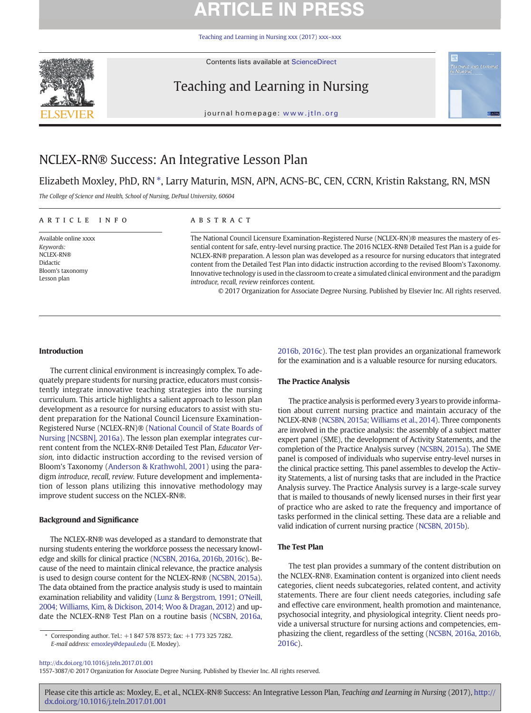# **ARTICLE IN PRESS**

[Teaching and Learning in Nursing xxx \(2017\) xxx](http://dx.doi.org/10.1016/j.teln.2017.01.001)–xxx



Contents lists available at ScienceDirect

## Teaching and Learning in Nursing

journal homepage: www.jtln.org



## NCLEX-RN® Success: An Integrative Lesson Plan

Elizabeth Moxley, PhD, RN  $^*$ , Larry Maturin, MSN, APN, ACNS-BC, CEN, CCRN, Kristin Rakstang, RN, MSN

The College of Science and Health, School of Nursing, DePaul University, 60604

### article info abstract

Available online xxxx Keywords: NCLEX-RN® Didactic Bloom's taxonomy Lesson plan

The National Council Licensure Examination-Registered Nurse (NCLEX-RN)® measures the mastery of essential content for safe, entry-level nursing practice. The 2016 NCLEX-RN® Detailed Test Plan is a guide for NCLEX-RN® preparation. A lesson plan was developed as a resource for nursing educators that integrated content from the Detailed Test Plan into didactic instruction according to the revised Bloom's Taxonomy. Innovative technology is used in the classroom to create a simulated clinical environment and the paradigm introduce, recall, review reinforces content.

© 2017 Organization for Associate Degree Nursing. Published by Elsevier Inc. All rights reserved.

### Introduction

The current clinical environment is increasingly complex. To adequately prepare students for nursing practice, educators must consistently integrate innovative teaching strategies into the nursing curriculum. This article highlights a salient approach to lesson plan development as a resource for nursing educators to assist with student preparation for the National Council Licensure Examination-Registered Nurse (NCLEX-RN)® [\(National Council of State Boards of](#page-3-0) [Nursing \[NCSBN\], 2016a\)](#page-3-0). The lesson plan exemplar integrates current content from the NCLEX-RN® Detailed Test Plan, Educator Version, into didactic instruction according to the revised version of Bloom's Taxonomy ([Anderson & Krathwohl, 2001](#page-3-0)) using the paradigm introduce, recall, review. Future development and implementation of lesson plans utilizing this innovative methodology may improve student success on the NCLEX-RN®.

### Background and Significance

The NCLEX-RN® was developed as a standard to demonstrate that nursing students entering the workforce possess the necessary knowledge and skills for clinical practice [\(NCSBN, 2016a, 2016b, 2016c\)](#page-3-0). Because of the need to maintain clinical relevance, the practice analysis is used to design course content for the NCLEX-RN® [\(NCSBN, 2015a](#page-3-0)). The data obtained from the practice analysis study is used to maintain examination reliability and validity ([Lunz & Bergstrom, 1991; O'Neill,](#page-3-0) [2004; Williams, Kim, & Dickison, 2014; Woo & Dragan, 2012\)](#page-3-0) and update the NCLEX-RN® Test Plan on a routine basis [\(NCSBN, 2016a,](#page-3-0)

⁎ Corresponding author. Tel.: +1 847 578 8573; fax: +1 773 325 7282. E-mail address: [emoxley@depaul.edu](mailto:emoxley@depaul.edu) (E. Moxley).

[2016b, 2016c\)](#page-3-0). The test plan provides an organizational framework for the examination and is a valuable resource for nursing educators.

### The Practice Analysis

The practice analysis is performed every 3 years to provide information about current nursing practice and maintain accuracy of the NCLEX-RN® [\(NCSBN, 2015a; Williams et al., 2014](#page-3-0)). Three components are involved in the practice analysis: the assembly of a subject matter expert panel (SME), the development of Activity Statements, and the completion of the Practice Analysis survey ([NCSBN, 2015a\)](#page-3-0). The SME panel is composed of individuals who supervise entry-level nurses in the clinical practice setting. This panel assembles to develop the Activity Statements, a list of nursing tasks that are included in the Practice Analysis survey. The Practice Analysis survey is a large-scale survey that is mailed to thousands of newly licensed nurses in their first year of practice who are asked to rate the frequency and importance of tasks performed in the clinical setting. These data are a reliable and valid indication of current nursing practice [\(NCSBN, 2015b](#page-3-0)).

### The Test Plan

The test plan provides a summary of the content distribution on the NCLEX-RN®. Examination content is organized into client needs categories, client needs subcategories, related content, and activity statements. There are four client needs categories, including safe and effective care environment, health promotion and maintenance, psychosocial integrity, and physiological integrity. Client needs provide a universal structure for nursing actions and competencies, emphasizing the client, regardless of the setting [\(NCSBN, 2016a, 2016b,](#page-3-0) [2016c\)](#page-3-0).

<http://dx.doi.org/10.1016/j.teln.2017.01.001>

1557-3087/© 2017 Organization for Associate Degree Nursing. Published by Elsevier Inc. All rights reserved.

Please cite this article as: Moxley, E., et al., NCLEX-RN® Success: An Integrative Lesson Plan, Teaching and Learning in Nursing (2017), [http://](http://dx.doi.org/10.1016/j.teln.2017.01.001) [dx.doi.org/10.1016/j.teln.2017.01.001](http://dx.doi.org/10.1016/j.teln.2017.01.001)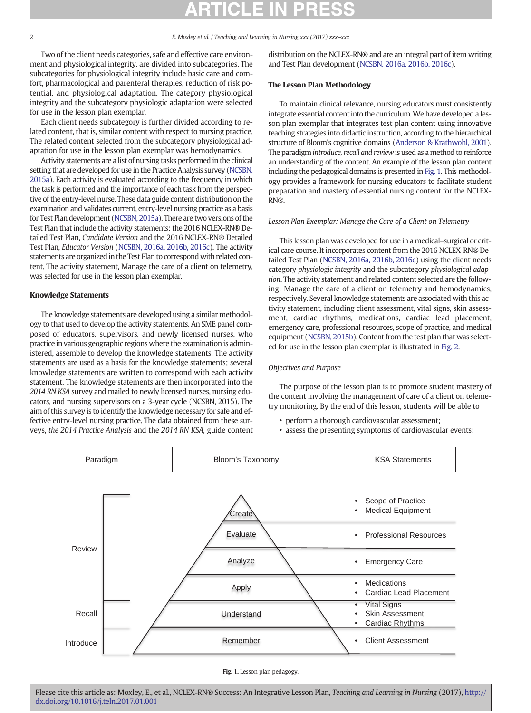### 2 E. Moxley et al. / Teaching and Learning in Nursing xxx (2017) xxx–xxx

Two of the client needs categories, safe and effective care environment and physiological integrity, are divided into subcategories. The subcategories for physiological integrity include basic care and comfort, pharmacological and parenteral therapies, reduction of risk potential, and physiological adaptation. The category physiological integrity and the subcategory physiologic adaptation were selected for use in the lesson plan exemplar.

Each client needs subcategory is further divided according to related content, that is, similar content with respect to nursing practice. The related content selected from the subcategory physiological adaptation for use in the lesson plan exemplar was hemodynamics.

Activity statements are a list of nursing tasks performed in the clinical setting that are developed for use in the Practice Analysis survey [\(NCSBN,](#page-3-0) [2015a\)](#page-3-0). Each activity is evaluated according to the frequency in which the task is performed and the importance of each task from the perspective of the entry-level nurse. These data guide content distribution on the examination and validates current, entry-level nursing practice as a basis for Test Plan development [\(NCSBN, 2015a\)](#page-3-0). There are two versions of the Test Plan that include the activity statements: the 2016 NCLEX-RN® Detailed Test Plan, Candidate Version and the 2016 NCLEX-RN® Detailed Test Plan, Educator Version [\(NCSBN, 2016a, 2016b, 2016c](#page-3-0)). The activity statements are organized in the Test Plan to correspond with related content. The activity statement, Manage the care of a client on telemetry, was selected for use in the lesson plan exemplar.

### Knowledge Statements

The knowledge statements are developed using a similar methodology to that used to develop the activity statements. An SME panel composed of educators, supervisors, and newly licensed nurses, who practice in various geographic regions where the examination is administered, assemble to develop the knowledge statements. The activity statements are used as a basis for the knowledge statements; several knowledge statements are written to correspond with each activity statement. The knowledge statements are then incorporated into the 2014 RN KSA survey and mailed to newly licensed nurses, nursing educators, and nursing supervisors on a 3-year cycle (NCSBN, 2015). The aim of this survey is to identify the knowledge necessary for safe and effective entry-level nursing practice. The data obtained from these surveys, the 2014 Practice Analysis and the 2014 RN KSA, guide content distribution on the NCLEX-RN® and are an integral part of item writing and Test Plan development ([NCSBN, 2016a, 2016b, 2016c](#page-3-0)).

### The Lesson Plan Methodology

To maintain clinical relevance, nursing educators must consistently integrate essential content into the curriculum. We have developed a lesson plan exemplar that integrates test plan content using innovative teaching strategies into didactic instruction, according to the hierarchical structure of Bloom's cognitive domains [\(Anderson & Krathwohl, 2001](#page-3-0)). The paradigm introduce, recall and review is used as a method to reinforce an understanding of the content. An example of the lesson plan content including the pedagogical domains is presented in Fig. 1. This methodology provides a framework for nursing educators to facilitate student preparation and mastery of essential nursing content for the NCLEX-RN®.

### Lesson Plan Exemplar: Manage the Care of a Client on Telemetry

This lesson plan was developed for use in a medical–surgical or critical care course. It incorporates content from the 2016 NCLEX-RN® Detailed Test Plan [\(NCSBN, 2016a, 2016b, 2016c](#page-3-0)) using the client needs category physiologic integrity and the subcategory physiological adaption. The activity statement and related content selected are the following: Manage the care of a client on telemetry and hemodynamics, respectively. Several knowledge statements are associated with this activity statement, including client assessment, vital signs, skin assessment, cardiac rhythms, medications, cardiac lead placement, emergency care, professional resources, scope of practice, and medical equipment [\(NCSBN, 2015b](#page-3-0)). Content from the test plan that was selected for use in the lesson plan exemplar is illustrated in [Fig. 2](#page-2-0).

### Objectives and Purpose

The purpose of the lesson plan is to promote student mastery of the content involving the management of care of a client on telemetry monitoring. By the end of this lesson, students will be able to

- perform a thorough cardiovascular assessment;
- assess the presenting symptoms of cardiovascular events;



Fig. 1. Lesson plan pedagogy.

Please cite this article as: Moxley, E., et al., NCLEX-RN® Success: An Integrative Lesson Plan, Teaching and Learning in Nursing (2017), [http://](http://dx.doi.org/10.1016/j.teln.2017.01.001) [dx.doi.org/10.1016/j.teln.2017.01.001](http://dx.doi.org/10.1016/j.teln.2017.01.001)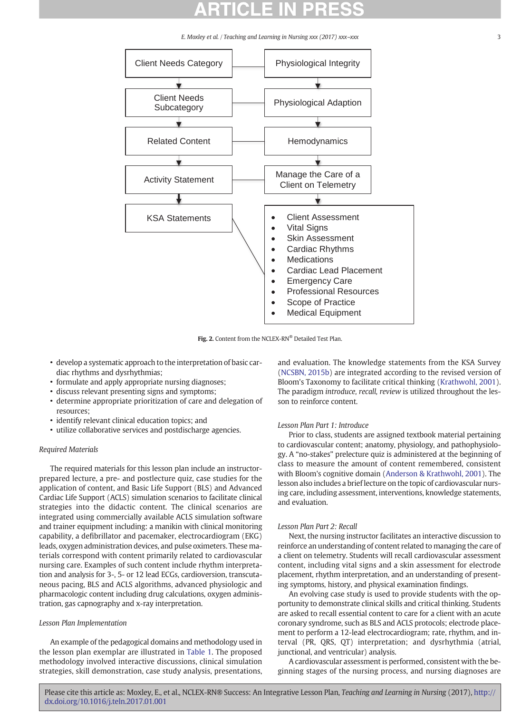E. Moxley et al. / Teaching and Learning in Nursing xxx (2017) xxx–xxx 3

<span id="page-2-0"></span>

Fig. 2. Content from the NCLEX-RN® Detailed Test Plan.

- develop a systematic approach to the interpretation of basic cardiac rhythms and dysrhythmias;
- formulate and apply appropriate nursing diagnoses;
- discuss relevant presenting signs and symptoms;
- determine appropriate prioritization of care and delegation of resources;
- identify relevant clinical education topics; and
- utilize collaborative services and postdischarge agencies.

### Required Materials

The required materials for this lesson plan include an instructorprepared lecture, a pre- and postlecture quiz, case studies for the application of content, and Basic Life Support (BLS) and Advanced Cardiac Life Support (ACLS) simulation scenarios to facilitate clinical strategies into the didactic content. The clinical scenarios are integrated using commercially available ACLS simulation software and trainer equipment including: a manikin with clinical monitoring capability, a defibrillator and pacemaker, electrocardiogram (EKG) leads, oxygen administration devices, and pulse oximeters. These materials correspond with content primarily related to cardiovascular nursing care. Examples of such content include rhythm interpretation and analysis for 3-, 5- or 12 lead ECGs, cardioversion, transcutaneous pacing, BLS and ACLS algorithms, advanced physiologic and pharmacologic content including drug calculations, oxygen administration, gas capnography and x-ray interpretation.

### Lesson Plan Implementation

An example of the pedagogical domains and methodology used in the lesson plan exemplar are illustrated in [Table 1.](#page-3-0) The proposed methodology involved interactive discussions, clinical simulation strategies, skill demonstration, case study analysis, presentations,

and evaluation. The knowledge statements from the KSA Survey [\(NCSBN, 2015b](#page-3-0)) are integrated according to the revised version of Bloom's Taxonomy to facilitate critical thinking ([Krathwohl, 2001](#page-3-0)). The paradigm introduce, recall, review is utilized throughout the lesson to reinforce content.

### Lesson Plan Part 1: Introduce

Prior to class, students are assigned textbook material pertaining to cardiovascular content; anatomy, physiology, and pathophysiology. A "no-stakes" prelecture quiz is administered at the beginning of class to measure the amount of content remembered, consistent with Bloom's cognitive domain ([Anderson & Krathwohl, 2001\)](#page-3-0). The lesson also includes a brief lecture on the topic of cardiovascular nursing care, including assessment, interventions, knowledge statements, and evaluation.

### Lesson Plan Part 2: Recall

Next, the nursing instructor facilitates an interactive discussion to reinforce an understanding of content related to managing the care of a client on telemetry. Students will recall cardiovascular assessment content, including vital signs and a skin assessment for electrode placement, rhythm interpretation, and an understanding of presenting symptoms, history, and physical examination findings.

An evolving case study is used to provide students with the opportunity to demonstrate clinical skills and critical thinking. Students are asked to recall essential content to care for a client with an acute coronary syndrome, such as BLS and ACLS protocols; electrode placement to perform a 12-lead electrocardiogram; rate, rhythm, and interval (PR, QRS, QT) interpretation; and dysrhythmia (atrial, junctional, and ventricular) analysis.

A cardiovascular assessment is performed, consistent with the beginning stages of the nursing process, and nursing diagnoses are

Please cite this article as: Moxley, E., et al., NCLEX-RN® Success: An Integrative Lesson Plan, Teaching and Learning in Nursing (2017), [http://](http://dx.doi.org/10.1016/j.teln.2017.01.001) [dx.doi.org/10.1016/j.teln.2017.01.001](http://dx.doi.org/10.1016/j.teln.2017.01.001)